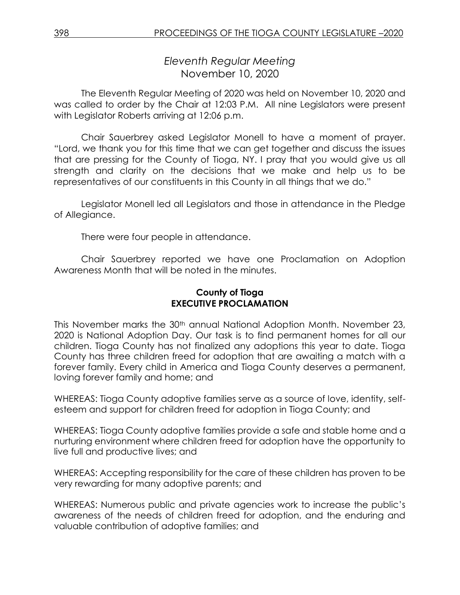*Eleventh Regular Meeting* November 10, 2020

The Eleventh Regular Meeting of 2020 was held on November 10, 2020 and was called to order by the Chair at 12:03 P.M. All nine Legislators were present with Legislator Roberts arriving at 12:06 p.m.

Chair Sauerbrey asked Legislator Monell to have a moment of prayer. "Lord, we thank you for this time that we can get together and discuss the issues that are pressing for the County of Tioga, NY. I pray that you would give us all strength and clarity on the decisions that we make and help us to be representatives of our constituents in this County in all things that we do."

Legislator Monell led all Legislators and those in attendance in the Pledge of Allegiance.

There were four people in attendance.

Chair Sauerbrey reported we have one Proclamation on Adoption Awareness Month that will be noted in the minutes.

## **County of Tioga EXECUTIVE PROCLAMATION**

This November marks the 30<sup>th</sup> annual National Adoption Month. November 23, 2020 is National Adoption Day. Our task is to find permanent homes for all our children. Tioga County has not finalized any adoptions this year to date. Tioga County has three children freed for adoption that are awaiting a match with a forever family. Every child in America and Tioga County deserves a permanent, loving forever family and home; and

WHEREAS: Tioga County adoptive families serve as a source of love, identity, selfesteem and support for children freed for adoption in Tioga County; and

WHEREAS: Tioga County adoptive families provide a safe and stable home and a nurturing environment where children freed for adoption have the opportunity to live full and productive lives; and

WHEREAS: Accepting responsibility for the care of these children has proven to be very rewarding for many adoptive parents; and

WHEREAS: Numerous public and private agencies work to increase the public's awareness of the needs of children freed for adoption, and the enduring and valuable contribution of adoptive families; and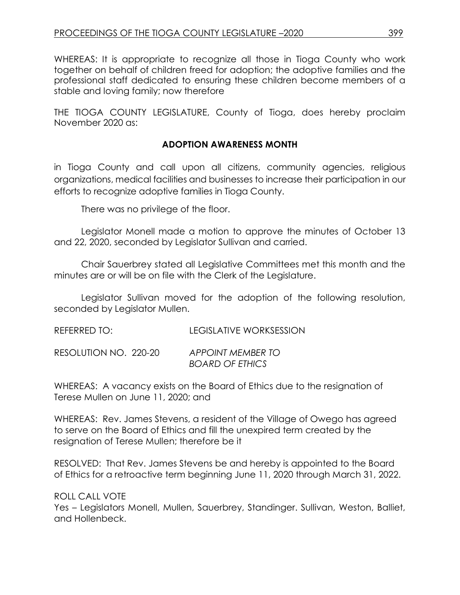WHEREAS: It is appropriate to recognize all those in Tioga County who work together on behalf of children freed for adoption; the adoptive families and the professional staff dedicated to ensuring these children become members of a stable and loving family; now therefore

THE TIOGA COUNTY LEGISLATURE, County of Tioga, does hereby proclaim November 2020 as:

## **ADOPTION AWARENESS MONTH**

in Tioga County and call upon all citizens, community agencies, religious organizations, medical facilities and businesses to increase their participation in our efforts to recognize adoptive families in Tioga County.

There was no privilege of the floor.

Legislator Monell made a motion to approve the minutes of October 13 and 22, 2020, seconded by Legislator Sullivan and carried.

Chair Sauerbrey stated all Legislative Committees met this month and the minutes are or will be on file with the Clerk of the Legislature.

Legislator Sullivan moved for the adoption of the following resolution, seconded by Legislator Mullen.

*BOARD OF ETHICS*

| REFERRED TO:          | LEGISLATIVE WORKSESSION |
|-----------------------|-------------------------|
| RESOLUTION NO. 220-20 | APPOINT MEMBER TO       |

WHEREAS: A vacancy exists on the Board of Ethics due to the resignation of Terese Mullen on June 11, 2020; and

WHEREAS: Rev. James Stevens, a resident of the Village of Owego has agreed to serve on the Board of Ethics and fill the unexpired term created by the resignation of Terese Mullen; therefore be it

RESOLVED: That Rev. James Stevens be and hereby is appointed to the Board of Ethics for a retroactive term beginning June 11, 2020 through March 31, 2022.

ROLL CALL VOTE

Yes – Legislators Monell, Mullen, Sauerbrey, Standinger. Sullivan, Weston, Balliet, and Hollenbeck.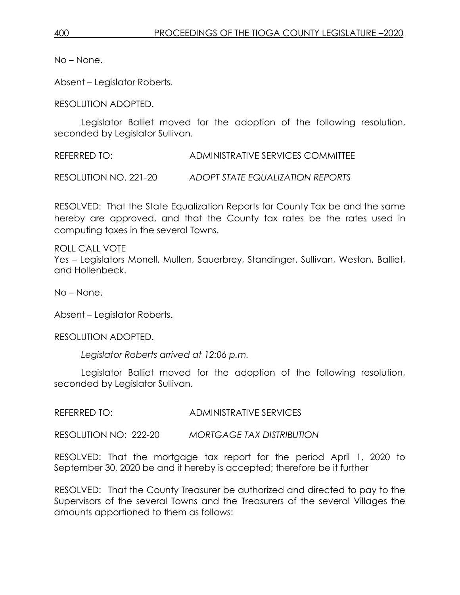No – None.

Absent – Legislator Roberts.

RESOLUTION ADOPTED.

Legislator Balliet moved for the adoption of the following resolution, seconded by Legislator Sullivan.

REFERRED TO: ADMINISTRATIVE SERVICES COMMITTEE

RESOLUTION NO. 221-20 *ADOPT STATE EQUALIZATION REPORTS*

RESOLVED: That the State Equalization Reports for County Tax be and the same hereby are approved, and that the County tax rates be the rates used in computing taxes in the several Towns.

ROLL CALL VOTE

Yes – Legislators Monell, Mullen, Sauerbrey, Standinger. Sullivan, Weston, Balliet, and Hollenbeck.

No – None.

Absent – Legislator Roberts.

RESOLUTION ADOPTED.

*Legislator Roberts arrived at 12:06 p.m.* 

Legislator Balliet moved for the adoption of the following resolution, seconded by Legislator Sullivan.

REFERRED TO: ADMINISTRATIVE SERVICES

RESOLUTION NO: 222-20 *MORTGAGE TAX DISTRIBUTION*

RESOLVED: That the mortgage tax report for the period April 1, 2020 to September 30, 2020 be and it hereby is accepted; therefore be it further

RESOLVED: That the County Treasurer be authorized and directed to pay to the Supervisors of the several Towns and the Treasurers of the several Villages the amounts apportioned to them as follows: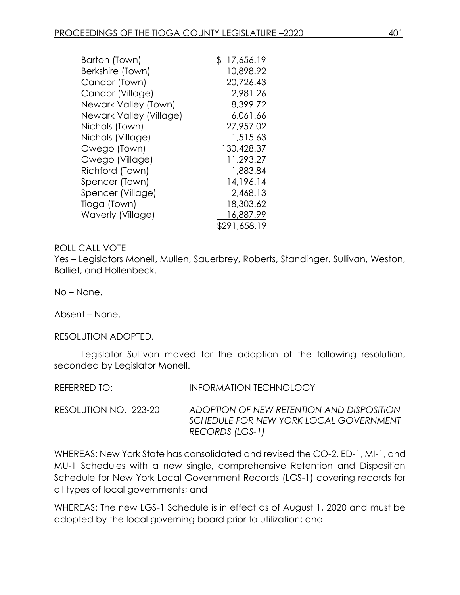| Barton (Town)           | 17,656.19<br>\$ |
|-------------------------|-----------------|
| Berkshire (Town)        | 10.898.92       |
| Candor (Town)           | 20,726.43       |
| Candor (Village)        | 2,981.26        |
| Newark Valley (Town)    | 8,399.72        |
| Newark Valley (Village) | 6,061.66        |
| Nichols (Town)          | 27,957.02       |
| Nichols (Village)       | 1,515.63        |
| Owego (Town)            | 130,428.37      |
| Owego (Village)         | 11,293.27       |
| Richford (Town)         | 1,883.84        |
| Spencer (Town)          | 14,196.14       |
| Spencer (Village)       | 2,468.13        |
| Tioga (Town)            | 18,303.62       |
| Waverly (Village)       | 16,887.99       |
|                         | \$291,658.19    |

#### ROLL CALL VOTE

Yes – Legislators Monell, Mullen, Sauerbrey, Roberts, Standinger. Sullivan, Weston, Balliet, and Hollenbeck.

No – None.

Absent – None.

RESOLUTION ADOPTED.

Legislator Sullivan moved for the adoption of the following resolution, seconded by Legislator Monell.

| REFERRED TO:          | <b>INFORMATION TECHNOLOGY</b>                                                                          |
|-----------------------|--------------------------------------------------------------------------------------------------------|
| RESOLUTION NO. 223-20 | ADOPTION OF NEW RETENTION AND DISPOSITION<br>SCHEDULE FOR NEW YORK LOCAL GOVERNMENT<br>RECORDS (LGS-1) |

WHEREAS: New York State has consolidated and revised the CO-2, ED-1, MI-1, and MU-1 Schedules with a new single, comprehensive Retention and Disposition Schedule for New York Local Government Records (LGS-1) covering records for all types of local governments; and

WHEREAS: The new LGS-1 Schedule is in effect as of August 1, 2020 and must be adopted by the local governing board prior to utilization; and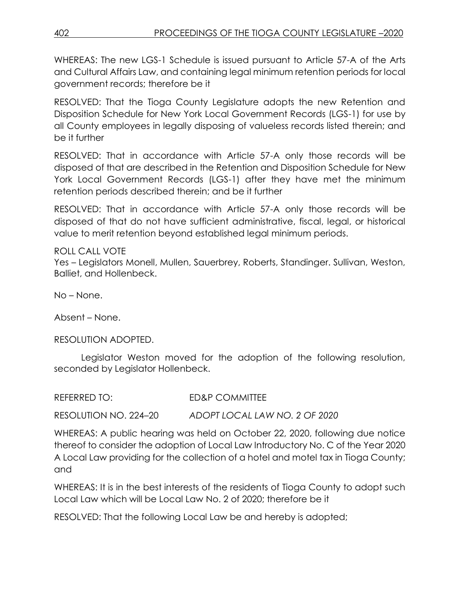WHEREAS: The new LGS-1 Schedule is issued pursuant to Article 57-A of the Arts and Cultural Affairs Law, and containing legal minimum retention periods for local government records; therefore be it

RESOLVED: That the Tioga County Legislature adopts the new Retention and Disposition Schedule for New York Local Government Records (LGS-1) for use by all County employees in legally disposing of valueless records listed therein; and be it further

RESOLVED: That in accordance with Article 57-A only those records will be disposed of that are described in the Retention and Disposition Schedule for New York Local Government Records (LGS-1) after they have met the minimum retention periods described therein; and be it further

RESOLVED: That in accordance with Article 57-A only those records will be disposed of that do not have sufficient administrative, fiscal, legal, or historical value to merit retention beyond established legal minimum periods.

### ROLL CALL VOTE

Yes – Legislators Monell, Mullen, Sauerbrey, Roberts, Standinger. Sullivan, Weston, Balliet, and Hollenbeck.

No – None.

Absent – None.

### RESOLUTION ADOPTED.

Legislator Weston moved for the adoption of the following resolution, seconded by Legislator Hollenbeck.

| REFERRED TO:          | ED&P COMMITTEE                |
|-----------------------|-------------------------------|
| RESOLUTION NO. 224–20 | ADOPT LOCAL LAW NO. 2 OF 2020 |

WHEREAS: A public hearing was held on October 22, 2020, following due notice thereof to consider the adoption of Local Law Introductory No. C of the Year 2020 A Local Law providing for the collection of a hotel and motel tax in Tioga County; and

WHEREAS: It is in the best interests of the residents of Tioga County to adopt such Local Law which will be Local Law No. 2 of 2020; therefore be it

RESOLVED: That the following Local Law be and hereby is adopted;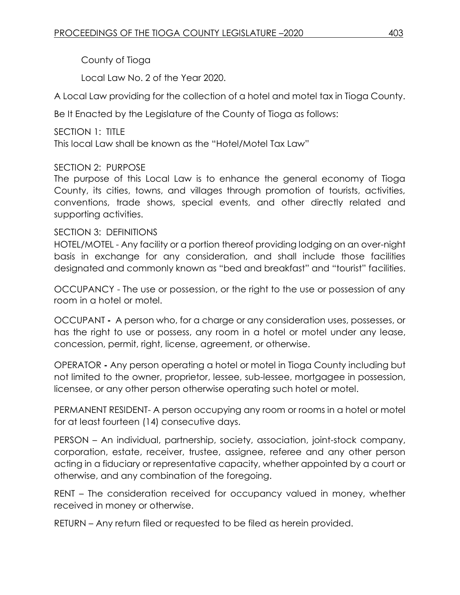County of Tioga

Local Law No. 2 of the Year 2020.

A Local Law providing for the collection of a hotel and motel tax in Tioga County.

Be It Enacted by the Legislature of the County of Tioga as follows:

SECTION 1: TITLE This local Law shall be known as the "Hotel/Motel Tax Law"

# SECTION 2: PURPOSE

The purpose of this Local Law is to enhance the general economy of Tioga County, its cities, towns, and villages through promotion of tourists, activities, conventions, trade shows, special events, and other directly related and supporting activities.

## SECTION 3: DEFINITIONS

HOTEL/MOTEL - Any facility or a portion thereof providing lodging on an over-night basis in exchange for any consideration, and shall include those facilities designated and commonly known as "bed and breakfast" and "tourist" facilities.

OCCUPANCY - The use or possession, or the right to the use or possession of any room in a hotel or motel.

OCCUPANT **-** A person who, for a charge or any consideration uses, possesses, or has the right to use or possess, any room in a hotel or motel under any lease, concession, permit, right, license, agreement, or otherwise.

OPERATOR **-** Any person operating a hotel or motel in Tioga County including but not limited to the owner, proprietor, lessee, sub-lessee, mortgagee in possession, licensee, or any other person otherwise operating such hotel or motel.

PERMANENT RESIDENT- A person occupying any room or rooms in a hotel or motel for at least fourteen (14) consecutive days.

PERSON – An individual, partnership, society, association, joint-stock company, corporation, estate, receiver, trustee, assignee, referee and any other person acting in a fiduciary or representative capacity, whether appointed by a court or otherwise, and any combination of the foregoing.

RENT – The consideration received for occupancy valued in money, whether received in money or otherwise.

RETURN – Any return filed or requested to be filed as herein provided.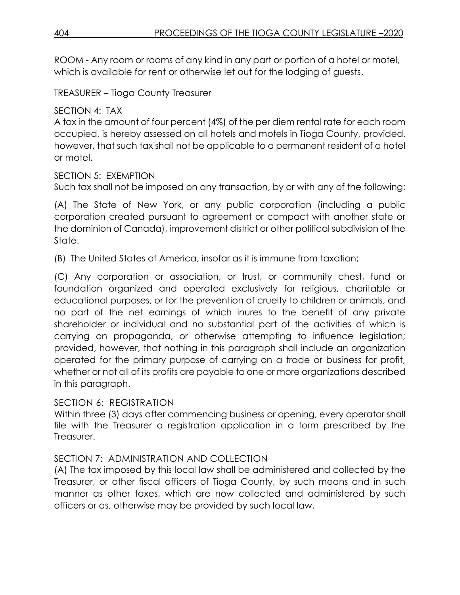ROOM - Any room or rooms of any kind in any part or portion of a hotel or motel, which is available for rent or otherwise let out for the lodging of guests.

TREASURER – Tioga County Treasurer

# SECTION 4: TAX

A tax in the amount of four percent (4%) of the per diem rental rate for each room occupied, is hereby assessed on all hotels and motels in Tioga County, provided, however, that such tax shall not be applicable to a permanent resident of a hotel or motel.

SECTION 5: EXEMPTION

Such tax shall not be imposed on any transaction, by or with any of the following:

(A) The State of New York, or any public corporation (including a public corporation created pursuant to agreement or compact with another state or the dominion of Canada), improvement district or other political subdivision of the State.

(B) The United States of America, insofar as it is immune from taxation;

(C) Any corporation or association, or trust, or community chest, fund or foundation organized and operated exclusively for religious, charitable or educational purposes, or for the prevention of cruelty to children or animals, and no part of the net earnings of which inures to the benefit of any private shareholder or individual and no substantial part of the activities of which is carrying on propaganda, or otherwise attempting to influence legislation; provided, however, that nothing in this paragraph shall include an organization operated for the primary purpose of carrying on a trade or business for profit, whether or not all of its profits are payable to one or more organizations described in this paragraph.

### SECTION 6: REGISTRATION

Within three (3) days after commencing business or opening, every operator shall file with the Treasurer a registration application in a form prescribed by the Treasurer.

# SECTION 7: ADMINISTRATION AND COLLECTION

(A) The tax imposed by this local law shall be administered and collected by the Treasurer, or other fiscal officers of Tioga County, by such means and in such manner as other taxes, which are now collected and administered by such officers or as, otherwise may be provided by such local law.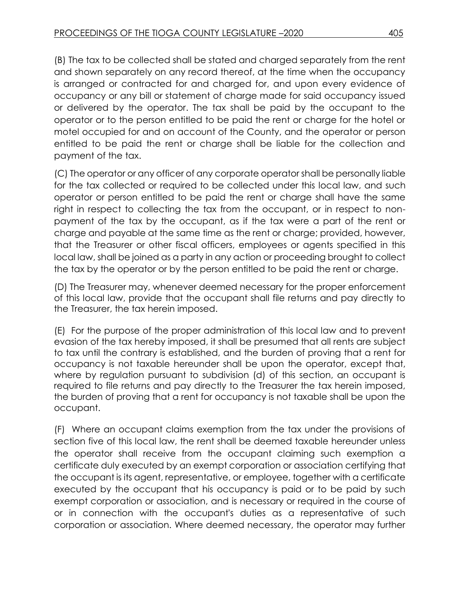(B) The tax to be collected shall be stated and charged separately from the rent and shown separately on any record thereof, at the time when the occupancy is arranged or contracted for and charged for, and upon every evidence of occupancy or any bill or statement of charge made for said occupancy issued or delivered by the operator. The tax shall be paid by the occupant to the operator or to the person entitled to be paid the rent or charge for the hotel or motel occupied for and on account of the County, and the operator or person entitled to be paid the rent or charge shall be liable for the collection and payment of the tax.

(C) The operator or any officer of any corporate operator shall be personally liable for the tax collected or required to be collected under this local law, and such operator or person entitled to be paid the rent or charge shall have the same right in respect to collecting the tax from the occupant, or in respect to nonpayment of the tax by the occupant, as if the tax were a part of the rent or charge and payable at the same time as the rent or charge; provided, however, that the Treasurer or other fiscal officers, employees or agents specified in this local law, shall be joined as a party in any action or proceeding brought to collect the tax by the operator or by the person entitled to be paid the rent or charge.

(D) The Treasurer may, whenever deemed necessary for the proper enforcement of this local law, provide that the occupant shall file returns and pay directly to the Treasurer, the tax herein imposed.

(E) For the purpose of the proper administration of this local law and to prevent evasion of the tax hereby imposed, it shall be presumed that all rents are subject to tax until the contrary is established, and the burden of proving that a rent for occupancy is not taxable hereunder shall be upon the operator, except that, where by regulation pursuant to subdivision (d) of this section, an occupant is required to file returns and pay directly to the Treasurer the tax herein imposed, the burden of proving that a rent for occupancy is not taxable shall be upon the occupant.

(F) Where an occupant claims exemption from the tax under the provisions of section five of this local law, the rent shall be deemed taxable hereunder unless the operator shall receive from the occupant claiming such exemption a certificate duly executed by an exempt corporation or association certifying that the occupant is its agent, representative, or employee, together with a certificate executed by the occupant that his occupancy is paid or to be paid by such exempt corporation or association, and is necessary or required in the course of or in connection with the occupant's duties as a representative of such corporation or association. Where deemed necessary, the operator may further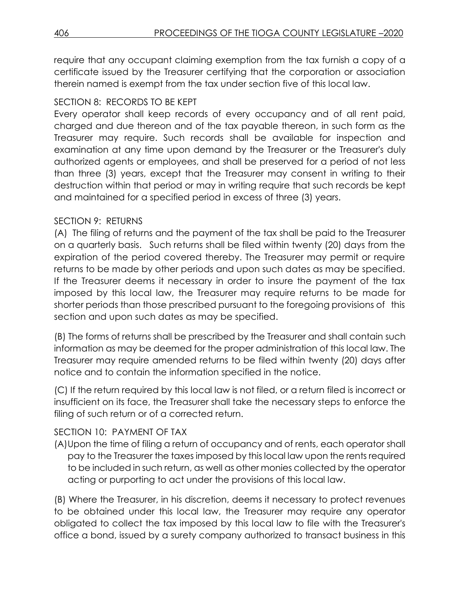require that any occupant claiming exemption from the tax furnish a copy of a certificate issued by the Treasurer certifying that the corporation or association therein named is exempt from the tax under section five of this local law.

# SECTION 8: RECORDS TO BE KEPT

Every operator shall keep records of every occupancy and of all rent paid, charged and due thereon and of the tax payable thereon, in such form as the Treasurer may require. Such records shall be available for inspection and examination at any time upon demand by the Treasurer or the Treasurer's duly authorized agents or employees, and shall be preserved for a period of not less than three (3) years, except that the Treasurer may consent in writing to their destruction within that period or may in writing require that such records be kept and maintained for a specified period in excess of three (3) years.

# SECTION 9: RETURNS

(A) The filing of returns and the payment of the tax shall be paid to the Treasurer on a quarterly basis. Such returns shall be filed within twenty (20) days from the expiration of the period covered thereby. The Treasurer may permit or require returns to be made by other periods and upon such dates as may be specified. If the Treasurer deems it necessary in order to insure the payment of the tax imposed by this local law, the Treasurer may require returns to be made for shorter periods than those prescribed pursuant to the foregoing provisions of this section and upon such dates as may be specified.

(B) The forms of returns shall be prescribed by the Treasurer and shall contain such information as may be deemed for the proper administration of this local law. The Treasurer may require amended returns to be filed within twenty (20) days after notice and to contain the information specified in the notice.

(C) If the return required by this local law is not filed, or a return filed is incorrect or insufficient on its face, the Treasurer shall take the necessary steps to enforce the filing of such return or of a corrected return.

# SECTION 10: PAYMENT OF TAX

(A)Upon the time of filing a return of occupancy and of rents, each operator shall pay to the Treasurer the taxes imposed by this local law upon the rents required to be included in such return, as well as other monies collected by the operator acting or purporting to act under the provisions of this local law.

(B) Where the Treasurer, in his discretion, deems it necessary to protect revenues to be obtained under this local law, the Treasurer may require any operator obligated to collect the tax imposed by this local law to file with the Treasurer's office a bond, issued by a surety company authorized to transact business in this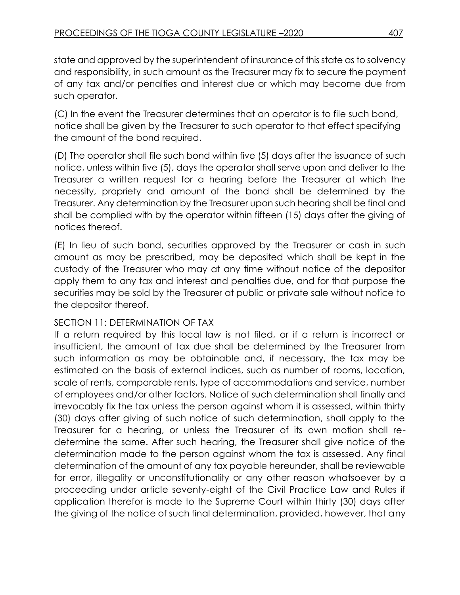state and approved by the superintendent of insurance of this state as to solvency and responsibility, in such amount as the Treasurer may fix to secure the payment of any tax and/or penalties and interest due or which may become due from such operator.

(C) In the event the Treasurer determines that an operator is to file such bond, notice shall be given by the Treasurer to such operator to that effect specifying the amount of the bond required.

(D) The operator shall file such bond within five (5) days after the issuance of such notice, unless within five (5), days the operator shall serve upon and deliver to the Treasurer a written request for a hearing before the Treasurer at which the necessity, propriety and amount of the bond shall be determined by the Treasurer. Any determination by the Treasurer upon such hearing shall be final and shall be complied with by the operator within fifteen (15) days after the giving of notices thereof.

(E) In lieu of such bond, securities approved by the Treasurer or cash in such amount as may be prescribed, may be deposited which shall be kept in the custody of the Treasurer who may at any time without notice of the depositor apply them to any tax and interest and penalties due, and for that purpose the securities may be sold by the Treasurer at public or private sale without notice to the depositor thereof.

# SECTION 11: DETERMINATION OF TAX

If a return required by this local law is not filed, or if a return is incorrect or insufficient, the amount of tax due shall be determined by the Treasurer from such information as may be obtainable and, if necessary, the tax may be estimated on the basis of external indices, such as number of rooms, location, scale of rents, comparable rents, type of accommodations and service, number of employees and/or other factors. Notice of such determination shall finally and irrevocably fix the tax unless the person against whom it is assessed, within thirty (30) days after giving of such notice of such determination, shall apply to the Treasurer for a hearing, or unless the Treasurer of its own motion shall redetermine the same. After such hearing, the Treasurer shall give notice of the determination made to the person against whom the tax is assessed. Any final determination of the amount of any tax payable hereunder, shall be reviewable for error, illegality or unconstitutionality or any other reason whatsoever by a proceeding under article seventy-eight of the Civil Practice Law and Rules if application therefor is made to the Supreme Court within thirty (30) days after the giving of the notice of such final determination, provided, however, that any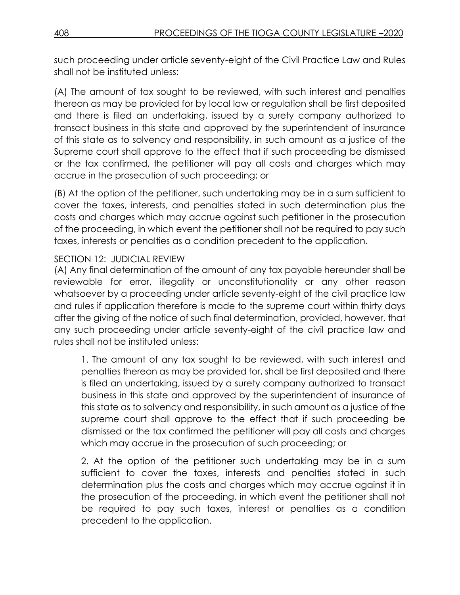such proceeding under article seventy-eight of the Civil Practice Law and Rules shall not be instituted unless:

(A) The amount of tax sought to be reviewed, with such interest and penalties thereon as may be provided for by local law or regulation shall be first deposited and there is filed an undertaking, issued by a surety company authorized to transact business in this state and approved by the superintendent of insurance of this state as to solvency and responsibility, in such amount as a justice of the Supreme court shall approve to the effect that if such proceeding be dismissed or the tax confirmed, the petitioner will pay all costs and charges which may accrue in the prosecution of such proceeding; or

(B) At the option of the petitioner, such undertaking may be in a sum sufficient to cover the taxes, interests, and penalties stated in such determination plus the costs and charges which may accrue against such petitioner in the prosecution of the proceeding, in which event the petitioner shall not be required to pay such taxes, interests or penalties as a condition precedent to the application.

## SECTION 12: JUDICIAL REVIEW

(A) Any final determination of the amount of any tax payable hereunder shall be reviewable for error, illegality or unconstitutionality or any other reason whatsoever by a proceeding under article seventy-eight of the civil practice law and rules if application therefore is made to the supreme court within thirty days after the giving of the notice of such final determination, provided, however, that any such proceeding under article seventy-eight of the civil practice law and rules shall not be instituted unless:

1. The amount of any tax sought to be reviewed, with such interest and penalties thereon as may be provided for, shall be first deposited and there is filed an undertaking, issued by a surety company authorized to transact business in this state and approved by the superintendent of insurance of this state as to solvency and responsibility, in such amount as a justice of the supreme court shall approve to the effect that if such proceeding be dismissed or the tax confirmed the petitioner will pay all costs and charges which may accrue in the prosecution of such proceeding; or

2. At the option of the petitioner such undertaking may be in a sum sufficient to cover the taxes, interests and penalties stated in such determination plus the costs and charges which may accrue against it in the prosecution of the proceeding, in which event the petitioner shall not be required to pay such taxes, interest or penalties as a condition precedent to the application.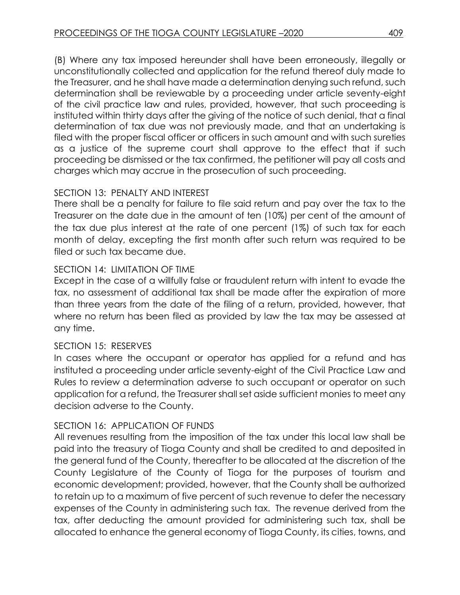(B) Where any tax imposed hereunder shall have been erroneously, illegally or unconstitutionally collected and application for the refund thereof duly made to the Treasurer, and he shall have made a determination denying such refund, such determination shall be reviewable by a proceeding under article seventy-eight of the civil practice law and rules, provided, however, that such proceeding is instituted within thirty days after the giving of the notice of such denial, that a final determination of tax due was not previously made, and that an undertaking is filed with the proper fiscal officer or officers in such amount and with such sureties as a justice of the supreme court shall approve to the effect that if such proceeding be dismissed or the tax confirmed, the petitioner will pay all costs and charges which may accrue in the prosecution of such proceeding.

## SECTION 13: PENALTY AND INTEREST

There shall be a penalty for failure to file said return and pay over the tax to the Treasurer on the date due in the amount of ten (10%) per cent of the amount of the tax due plus interest at the rate of one percent (1%) of such tax for each month of delay, excepting the first month after such return was required to be filed or such tax became due.

# SECTION 14: LIMITATION OF TIME

Except in the case of a willfully false or fraudulent return with intent to evade the tax, no assessment of additional tax shall be made after the expiration of more than three years from the date of the filing of a return, provided, however, that where no return has been filed as provided by law the tax may be assessed at any time.

### SECTION 15: RESERVES

In cases where the occupant or operator has applied for a refund and has instituted a proceeding under article seventy-eight of the Civil Practice Law and Rules to review a determination adverse to such occupant or operator on such application for a refund, the Treasurer shall set aside sufficient monies to meet any decision adverse to the County.

# SECTION 16: APPLICATION OF FUNDS

All revenues resulting from the imposition of the tax under this local law shall be paid into the treasury of Tioga County and shall be credited to and deposited in the general fund of the County, thereafter to be allocated at the discretion of the County Legislature of the County of Tioga for the purposes of tourism and economic development; provided, however, that the County shall be authorized to retain up to a maximum of five percent of such revenue to defer the necessary expenses of the County in administering such tax. The revenue derived from the tax, after deducting the amount provided for administering such tax, shall be allocated to enhance the general economy of Tioga County, its cities, towns, and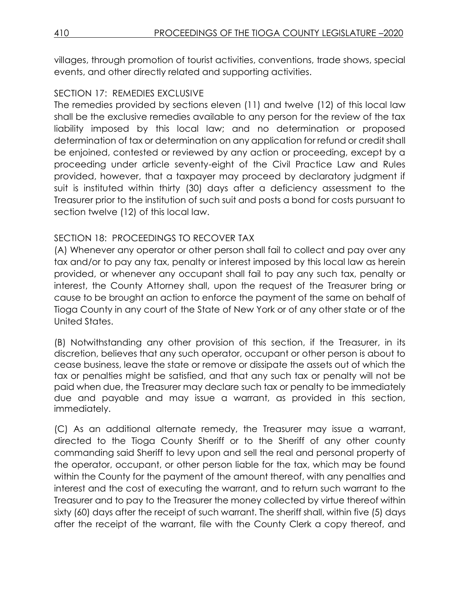villages, through promotion of tourist activities, conventions, trade shows, special events, and other directly related and supporting activities.

### SECTION 17: REMEDIES EXCLUSIVE

The remedies provided by sections eleven (11) and twelve (12) of this local law shall be the exclusive remedies available to any person for the review of the tax liability imposed by this local law; and no determination or proposed determination of tax or determination on any application for refund or credit shall be enjoined, contested or reviewed by any action or proceeding, except by a proceeding under article seventy-eight of the Civil Practice Law and Rules provided, however, that a taxpayer may proceed by declaratory judgment if suit is instituted within thirty (30) days after a deficiency assessment to the Treasurer prior to the institution of such suit and posts a bond for costs pursuant to section twelve (12) of this local law.

## SECTION 18: PROCEEDINGS TO RECOVER TAX

(A) Whenever any operator or other person shall fail to collect and pay over any tax and/or to pay any tax, penalty or interest imposed by this local law as herein provided, or whenever any occupant shall fail to pay any such tax, penalty or interest, the County Attorney shall, upon the request of the Treasurer bring or cause to be brought an action to enforce the payment of the same on behalf of Tioga County in any court of the State of New York or of any other state or of the United States.

(B) Notwithstanding any other provision of this section, if the Treasurer, in its discretion, believes that any such operator, occupant or other person is about to cease business, leave the state or remove or dissipate the assets out of which the tax or penalties might be satisfied, and that any such tax or penalty will not be paid when due, the Treasurer may declare such tax or penalty to be immediately due and payable and may issue a warrant, as provided in this section, immediately.

(C) As an additional alternate remedy, the Treasurer may issue a warrant, directed to the Tioga County Sheriff or to the Sheriff of any other county commanding said Sheriff to levy upon and sell the real and personal property of the operator, occupant, or other person liable for the tax, which may be found within the County for the payment of the amount thereof, with any penalties and interest and the cost of executing the warrant, and to return such warrant to the Treasurer and to pay to the Treasurer the money collected by virtue thereof within sixty (60) days after the receipt of such warrant. The sheriff shall, within five (5) days after the receipt of the warrant, file with the County Clerk a copy thereof, and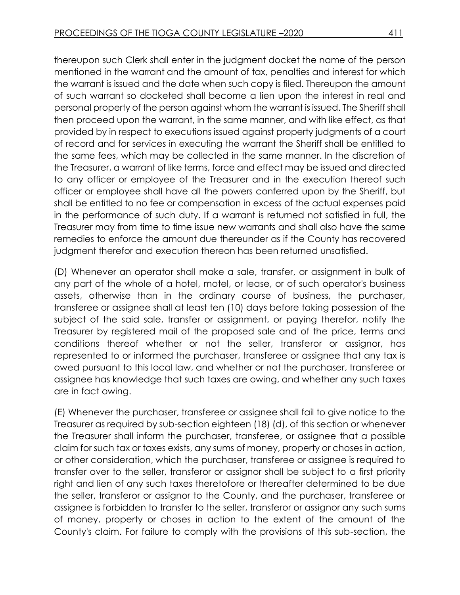thereupon such Clerk shall enter in the judgment docket the name of the person mentioned in the warrant and the amount of tax, penalties and interest for which the warrant is issued and the date when such copy is filed. Thereupon the amount of such warrant so docketed shall become a lien upon the interest in real and personal property of the person against whom the warrant is issued. The Sheriff shall then proceed upon the warrant, in the same manner, and with like effect, as that provided by in respect to executions issued against property judgments of a court of record and for services in executing the warrant the Sheriff shall be entitled to the same fees, which may be collected in the same manner. In the discretion of the Treasurer, a warrant of like terms, force and effect may be issued and directed to any officer or employee of the Treasurer and in the execution thereof such officer or employee shall have all the powers conferred upon by the Sheriff, but shall be entitled to no fee or compensation in excess of the actual expenses paid in the performance of such duty. If a warrant is returned not satisfied in full, the Treasurer may from time to time issue new warrants and shall also have the same remedies to enforce the amount due thereunder as if the County has recovered judgment therefor and execution thereon has been returned unsatisfied.

(D) Whenever an operator shall make a sale, transfer, or assignment in bulk of any part of the whole of a hotel, motel, or lease, or of such operator's business assets, otherwise than in the ordinary course of business, the purchaser, transferee or assignee shall at least ten (10) days before taking possession of the subject of the said sale, transfer or assignment, or paying therefor, notify the Treasurer by registered mail of the proposed sale and of the price, terms and conditions thereof whether or not the seller, transferor or assignor, has represented to or informed the purchaser, transferee or assignee that any tax is owed pursuant to this local law, and whether or not the purchaser, transferee or assignee has knowledge that such taxes are owing, and whether any such taxes are in fact owing.

(E) Whenever the purchaser, transferee or assignee shall fail to give notice to the Treasurer as required by sub-section eighteen (18) (d), of this section or whenever the Treasurer shall inform the purchaser, transferee, or assignee that a possible claim for such tax or taxes exists, any sums of money, property or choses in action, or other consideration, which the purchaser, transferee or assignee is required to transfer over to the seller, transferor or assignor shall be subject to a first priority right and lien of any such taxes theretofore or thereafter determined to be due the seller, transferor or assignor to the County, and the purchaser, transferee or assignee is forbidden to transfer to the seller, transferor or assignor any such sums of money, property or choses in action to the extent of the amount of the County's claim. For failure to comply with the provisions of this sub-section, the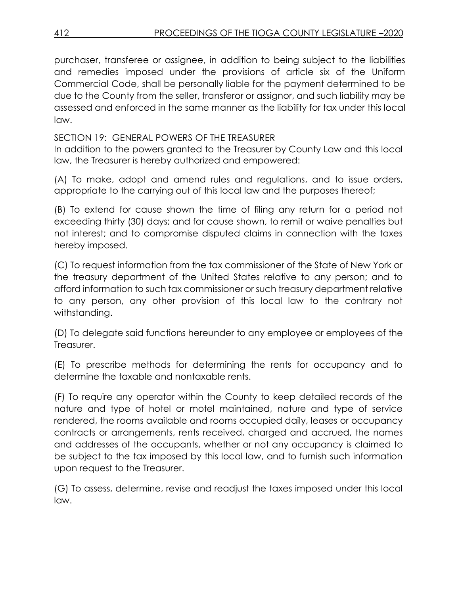purchaser, transferee or assignee, in addition to being subject to the liabilities and remedies imposed under the provisions of article six of the Uniform Commercial Code, shall be personally liable for the payment determined to be due to the County from the seller, transferor or assignor, and such liability may be assessed and enforced in the same manner as the liability for tax under this local law.

SECTION 19: GENERAL POWERS OF THE TREASURER

In addition to the powers granted to the Treasurer by County Law and this local law, the Treasurer is hereby authorized and empowered:

(A) To make, adopt and amend rules and regulations, and to issue orders, appropriate to the carrying out of this local law and the purposes thereof;

(B) To extend for cause shown the time of filing any return for a period not exceeding thirty (30) days; and for cause shown, to remit or waive penalties but not interest; and to compromise disputed claims in connection with the taxes hereby imposed.

(C) To request information from the tax commissioner of the State of New York or the treasury department of the United States relative to any person; and to afford information to such tax commissioner or such treasury department relative to any person, any other provision of this local law to the contrary not withstanding.

(D) To delegate said functions hereunder to any employee or employees of the Treasurer.

(E) To prescribe methods for determining the rents for occupancy and to determine the taxable and nontaxable rents.

(F) To require any operator within the County to keep detailed records of the nature and type of hotel or motel maintained, nature and type of service rendered, the rooms available and rooms occupied daily, leases or occupancy contracts or arrangements, rents received, charged and accrued, the names and addresses of the occupants, whether or not any occupancy is claimed to be subject to the tax imposed by this local law, and to furnish such information upon request to the Treasurer.

(G) To assess, determine, revise and readjust the taxes imposed under this local law.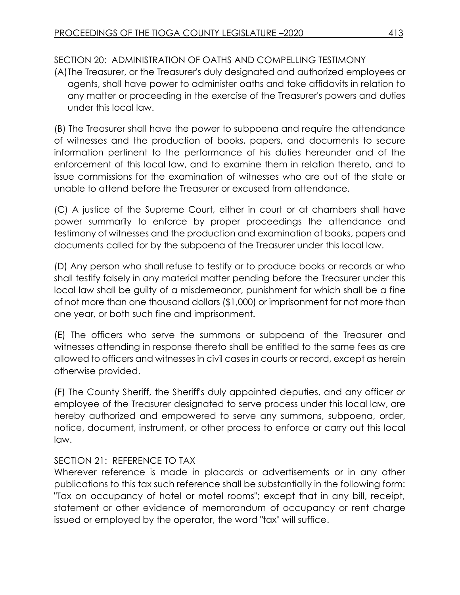# SECTION 20: ADMINISTRATION OF OATHS AND COMPELLING TESTIMONY

(A)The Treasurer, or the Treasurer's duly designated and authorized employees or agents, shall have power to administer oaths and take affidavits in relation to any matter or proceeding in the exercise of the Treasurer's powers and duties under this local law.

(B) The Treasurer shall have the power to subpoena and require the attendance of witnesses and the production of books, papers, and documents to secure information pertinent to the performance of his duties hereunder and of the enforcement of this local law, and to examine them in relation thereto, and to issue commissions for the examination of witnesses who are out of the state or unable to attend before the Treasurer or excused from attendance.

(C) A justice of the Supreme Court, either in court or at chambers shall have power summarily to enforce by proper proceedings the attendance and testimony of witnesses and the production and examination of books, papers and documents called for by the subpoena of the Treasurer under this local law.

(D) Any person who shall refuse to testify or to produce books or records or who shall testify falsely in any material matter pending before the Treasurer under this local law shall be guilty of a misdemeanor, punishment for which shall be a fine of not more than one thousand dollars (\$1,000) or imprisonment for not more than one year, or both such fine and imprisonment.

(E) The officers who serve the summons or subpoena of the Treasurer and witnesses attending in response thereto shall be entitled to the same fees as are allowed to officers and witnesses in civil cases in courts or record, except as herein otherwise provided.

(F) The County Sheriff, the Sheriff's duly appointed deputies, and any officer or employee of the Treasurer designated to serve process under this local law, are hereby authorized and empowered to serve any summons, subpoena, order, notice, document, instrument, or other process to enforce or carry out this local law.

# SECTION 21: REFERENCE TO TAX

Wherever reference is made in placards or advertisements or in any other publications to this tax such reference shall be substantially in the following form: "Tax on occupancy of hotel or motel rooms"; except that in any bill, receipt, statement or other evidence of memorandum of occupancy or rent charge issued or employed by the operator, the word "tax" will suffice.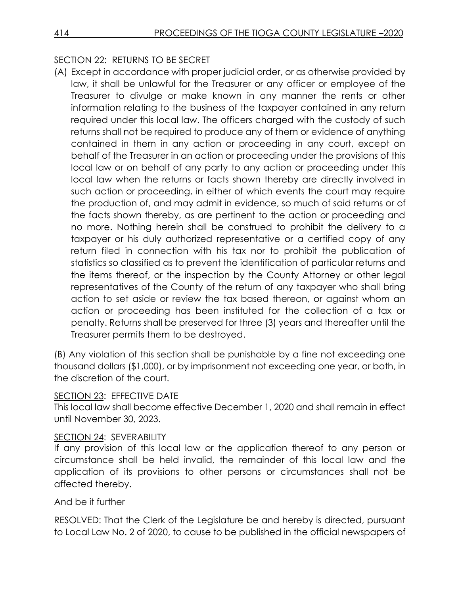# SECTION 22: RETURNS TO BE SECRET

(A) Except in accordance with proper judicial order, or as otherwise provided by law, it shall be unlawful for the Treasurer or any officer or employee of the Treasurer to divulge or make known in any manner the rents or other information relating to the business of the taxpayer contained in any return required under this local law. The officers charged with the custody of such returns shall not be required to produce any of them or evidence of anything contained in them in any action or proceeding in any court, except on behalf of the Treasurer in an action or proceeding under the provisions of this local law or on behalf of any party to any action or proceeding under this local law when the returns or facts shown thereby are directly involved in such action or proceeding, in either of which events the court may require the production of, and may admit in evidence, so much of said returns or of the facts shown thereby, as are pertinent to the action or proceeding and no more. Nothing herein shall be construed to prohibit the delivery to a taxpayer or his duly authorized representative or a certified copy of any return filed in connection with his tax nor to prohibit the publication of statistics so classified as to prevent the identification of particular returns and the items thereof, or the inspection by the County Attorney or other legal representatives of the County of the return of any taxpayer who shall bring action to set aside or review the tax based thereon, or against whom an action or proceeding has been instituted for the collection of a tax or penalty. Returns shall be preserved for three (3) years and thereafter until the Treasurer permits them to be destroyed.

(B) Any violation of this section shall be punishable by a fine not exceeding one thousand dollars (\$1,000), or by imprisonment not exceeding one year, or both, in the discretion of the court.

### SECTION 23: EFFECTIVE DATE

This local law shall become effective December 1, 2020 and shall remain in effect until November 30, 2023.

#### SECTION 24: SEVERABILITY

If any provision of this local law or the application thereof to any person or circumstance shall be held invalid, the remainder of this local law and the application of its provisions to other persons or circumstances shall not be affected thereby.

### And be it further

RESOLVED: That the Clerk of the Legislature be and hereby is directed, pursuant to Local Law No. 2 of 2020, to cause to be published in the official newspapers of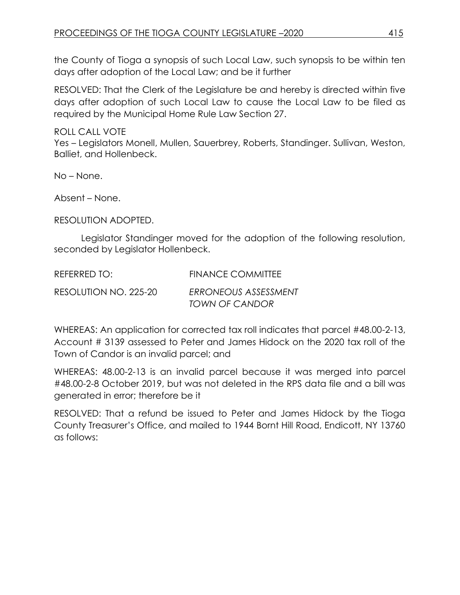the County of Tioga a synopsis of such Local Law, such synopsis to be within ten days after adoption of the Local Law; and be it further

RESOLVED: That the Clerk of the Legislature be and hereby is directed within five days after adoption of such Local Law to cause the Local Law to be filed as required by the Municipal Home Rule Law Section 27.

ROLL CALL VOTE

Yes – Legislators Monell, Mullen, Sauerbrey, Roberts, Standinger. Sullivan, Weston, Balliet, and Hollenbeck.

No – None.

Absent – None.

RESOLUTION ADOPTED.

Legislator Standinger moved for the adoption of the following resolution, seconded by Legislator Hollenbeck.

| REFERRED TO:          | <b>FINANCE COMMITTEE</b> |
|-----------------------|--------------------------|
| RESOLUTION NO. 225-20 | ERRONEOUS ASSESSMENT     |
|                       | <b>TOWN OF CANDOR</b>    |

WHEREAS: An application for corrected tax roll indicates that parcel #48.00-2-13, Account # 3139 assessed to Peter and James Hidock on the 2020 tax roll of the Town of Candor is an invalid parcel; and

WHEREAS: 48.00-2-13 is an invalid parcel because it was merged into parcel #48.00-2-8 October 2019, but was not deleted in the RPS data file and a bill was generated in error; therefore be it

RESOLVED: That a refund be issued to Peter and James Hidock by the Tioga County Treasurer's Office, and mailed to 1944 Bornt Hill Road, Endicott, NY 13760 as follows: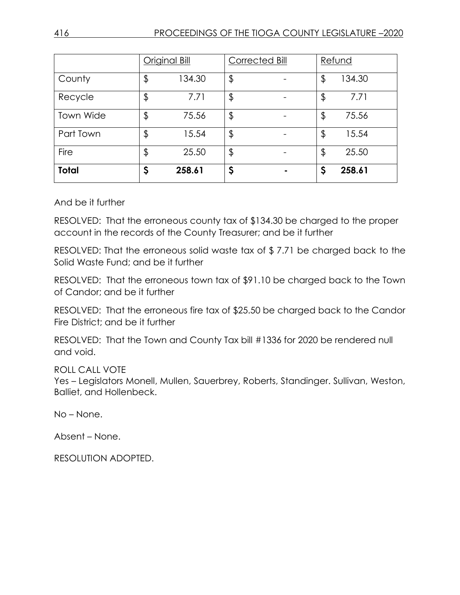|                  | <b>Original Bill</b> |        | Corrected Bill |  | Refund |        |
|------------------|----------------------|--------|----------------|--|--------|--------|
| County           | \$                   | 134.30 | $\frac{1}{2}$  |  | \$     | 134.30 |
| Recycle          | \$                   | 7.71   | \$             |  | \$     | 7.71   |
| <b>Town Wide</b> | \$                   | 75.56  | $\frac{1}{2}$  |  | \$     | 75.56  |
| Part Town        | \$                   | 15.54  | $\frac{1}{2}$  |  | \$     | 15.54  |
| Fire             | \$                   | 25.50  | $\frac{1}{2}$  |  | \$     | 25.50  |
| <b>Total</b>     | \$                   | 258.61 | \$             |  | Ş      | 258.61 |

And be it further

RESOLVED: That the erroneous county tax of \$134.30 be charged to the proper account in the records of the County Treasurer; and be it further

RESOLVED: That the erroneous solid waste tax of \$ 7.71 be charged back to the Solid Waste Fund; and be it further

RESOLVED: That the erroneous town tax of \$91.10 be charged back to the Town of Candor; and be it further

RESOLVED: That the erroneous fire tax of \$25.50 be charged back to the Candor Fire District; and be it further

RESOLVED: That the Town and County Tax bill #1336 for 2020 be rendered null and void.

ROLL CALL VOTE

Yes – Legislators Monell, Mullen, Sauerbrey, Roberts, Standinger. Sullivan, Weston, Balliet, and Hollenbeck.

No – None.

Absent – None.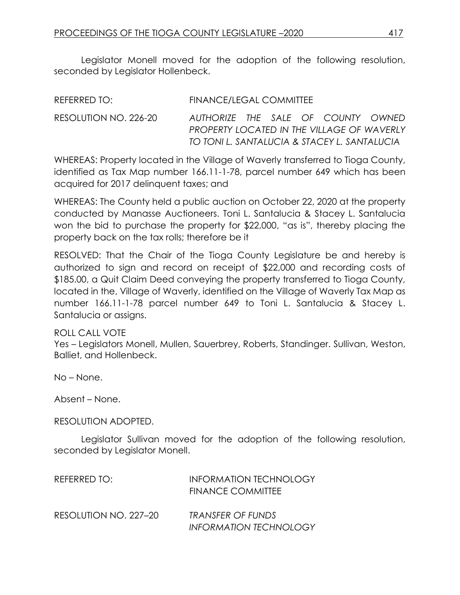Legislator Monell moved for the adoption of the following resolution, seconded by Legislator Hollenbeck.

| RESOLUTION NO. 226-20<br>AUTHORIZE THE SALE OF COUNTY OWNED<br>PROPERTY LOCATED IN THE VILLAGE OF WAVERLY<br>TO TONI L. SANTALUCIA & STACEY L. SANTALUCIA | REFERRED TO: | FINANCE/LEGAL COMMITTEE |  |  |  |
|-----------------------------------------------------------------------------------------------------------------------------------------------------------|--------------|-------------------------|--|--|--|
|                                                                                                                                                           |              |                         |  |  |  |

WHEREAS: Property located in the Village of Waverly transferred to Tioga County, identified as Tax Map number 166.11-1-78, parcel number 649 which has been acquired for 2017 delinquent taxes; and

WHEREAS: The County held a public auction on October 22, 2020 at the property conducted by Manasse Auctioneers. Toni L. Santalucia & Stacey L. Santalucia won the bid to purchase the property for \$22,000, "as is", thereby placing the property back on the tax rolls; therefore be it

RESOLVED: That the Chair of the Tioga County Legislature be and hereby is authorized to sign and record on receipt of \$22,000 and recording costs of \$185.00, a Quit Claim Deed conveying the property transferred to Tioga County, located in the, Village of Waverly, identified on the Village of Waverly Tax Map as number 166.11-1-78 parcel number 649 to Toni L. Santalucia & Stacey L. Santalucia or assigns.

ROLL CALL VOTE

Yes – Legislators Monell, Mullen, Sauerbrey, Roberts, Standinger. Sullivan, Weston, Balliet, and Hollenbeck.

No – None.

Absent – None.

RESOLUTION ADOPTED.

Legislator Sullivan moved for the adoption of the following resolution, seconded by Legislator Monell.

| REFERRED TO:          | INFORMATION TECHNOLOGY<br><b>FINANCE COMMITTEE</b> |
|-----------------------|----------------------------------------------------|
| RESOLUTION NO. 227-20 | TRANSFER OF FUNDS<br><b>INFORMATION TECHNOLOGY</b> |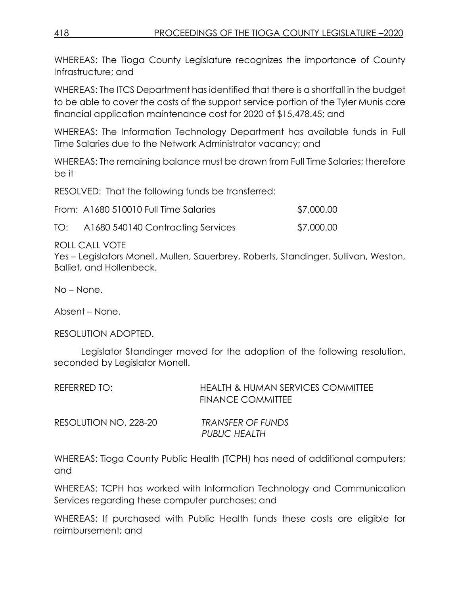WHEREAS: The Tioga County Legislature recognizes the importance of County Infrastructure; and

WHEREAS: The ITCS Department has identified that there is a shortfall in the budget to be able to cover the costs of the support service portion of the Tyler Munis core financial application maintenance cost for 2020 of \$15,478.45; and

WHEREAS: The Information Technology Department has available funds in Full Time Salaries due to the Network Administrator vacancy; and

WHEREAS: The remaining balance must be drawn from Full Time Salaries; therefore be it

RESOLVED: That the following funds be transferred:

|  | From: A1680 510010 Full Time Salaries | \$7,000.00 |
|--|---------------------------------------|------------|
|--|---------------------------------------|------------|

TO: A1680 540140 Contracting Services \$7,000.00

ROLL CALL VOTE

Yes – Legislators Monell, Mullen, Sauerbrey, Roberts, Standinger. Sullivan, Weston, Balliet, and Hollenbeck.

No – None.

Absent – None.

RESOLUTION ADOPTED.

Legislator Standinger moved for the adoption of the following resolution, seconded by Legislator Monell.

| REFERRED TO:          | <b>HEALTH &amp; HUMAN SERVICES COMMITTEE</b><br><b>FINANCE COMMITTEE</b> |
|-----------------------|--------------------------------------------------------------------------|
| RESOLUTION NO. 228-20 | TRANSFER OF FUNDS<br>PUBLIC HEALTH                                       |

WHEREAS: Tioga County Public Health (TCPH) has need of additional computers; and

WHEREAS: TCPH has worked with Information Technology and Communication Services regarding these computer purchases; and

WHEREAS: If purchased with Public Health funds these costs are eligible for reimbursement; and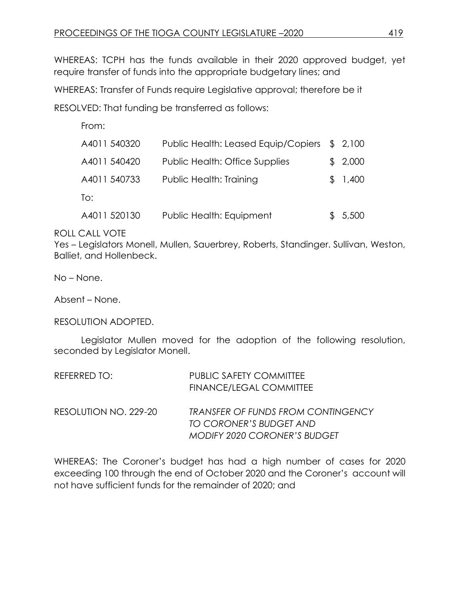WHEREAS: TCPH has the funds available in their 2020 approved budget, yet require transfer of funds into the appropriate budgetary lines; and

WHEREAS: Transfer of Funds require Legislative approval; therefore be it

RESOLVED: That funding be transferred as follows:

| From:        |                                     |         |  |
|--------------|-------------------------------------|---------|--|
| A4011 540320 | Public Health: Leased Equip/Copiers | \$2,100 |  |
| A4011 540420 | Public Health: Office Supplies      | \$2,000 |  |
| A4011 540733 | Public Health: Training             | \$1,400 |  |
| To:          |                                     |         |  |
| A4011 520130 | Public Health: Equipment            | 5,500   |  |

ROLL CALL VOTE

Yes – Legislators Monell, Mullen, Sauerbrey, Roberts, Standinger. Sullivan, Weston, Balliet, and Hollenbeck.

No – None.

Absent – None.

RESOLUTION ADOPTED.

Legislator Mullen moved for the adoption of the following resolution, seconded by Legislator Monell.

| REFERRED TO:          | <b>PUBLIC SAFETY COMMITTEE</b>            |
|-----------------------|-------------------------------------------|
|                       | FINANCE/LEGAL COMMITTEE                   |
| RESOLUTION NO. 229-20 | <b>TRANSFER OF FUNDS FROM CONTINGENCY</b> |
|                       | TO CORONER'S BUDGET AND                   |
|                       | MODIFY 2020 CORONER'S BUDGET              |

WHEREAS: The Coroner's budget has had a high number of cases for 2020 exceeding 100 through the end of October 2020 and the Coroner's account will not have sufficient funds for the remainder of 2020; and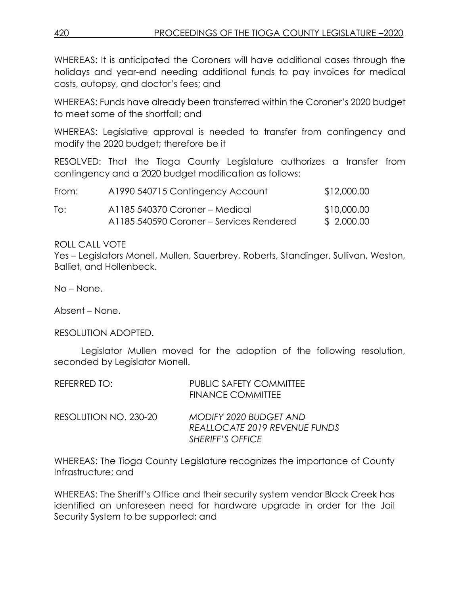WHEREAS: It is anticipated the Coroners will have additional cases through the holidays and year-end needing additional funds to pay invoices for medical costs, autopsy, and doctor's fees; and

WHEREAS: Funds have already been transferred within the Coroner's 2020 budget to meet some of the shortfall; and

WHEREAS: Legislative approval is needed to transfer from contingency and modify the 2020 budget; therefore be it

RESOLVED: That the Tioga County Legislature authorizes a transfer from contingency and a 2020 budget modification as follows:

| From: | A1990 540715 Contingency Account         | \$12,000.00 |
|-------|------------------------------------------|-------------|
| lo:   | A1185 540370 Coroner – Medical           | \$10,000.00 |
|       | A1185 540590 Coroner – Services Rendered | \$ 2,000.00 |

#### ROLL CALL VOTE

Yes – Legislators Monell, Mullen, Sauerbrey, Roberts, Standinger. Sullivan, Weston, Balliet, and Hollenbeck.

No – None.

Absent – None.

#### RESOLUTION ADOPTED.

Legislator Mullen moved for the adoption of the following resolution, seconded by Legislator Monell.

| REFERRED TO:          | <b>PUBLIC SAFETY COMMITTEE</b><br><b>FINANCE COMMITTEE</b> |
|-----------------------|------------------------------------------------------------|
| RESOLUTION NO. 230-20 | MODIFY 2020 BUDGET AND<br>REALLOCATE 2019 REVENUE FUNDS    |
|                       | <b>SHERIFF'S OFFICE</b>                                    |

WHEREAS: The Tioga County Legislature recognizes the importance of County Infrastructure; and

WHEREAS: The Sheriff's Office and their security system vendor Black Creek has identified an unforeseen need for hardware upgrade in order for the Jail Security System to be supported; and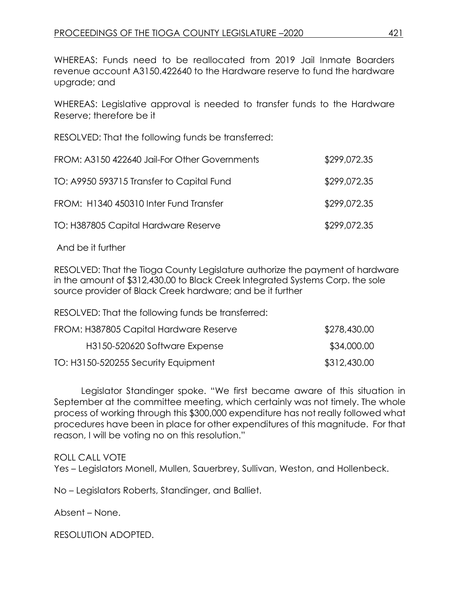WHEREAS: Funds need to be reallocated from 2019 Jail Inmate Boarders revenue account A3150.422640 to the Hardware reserve to fund the hardware upgrade; and

WHEREAS: Legislative approval is needed to transfer funds to the Hardware Reserve; therefore be it

RESOLVED: That the following funds be transferred:

| FROM: A3150 422640 Jail-For Other Governments | \$299,072.35 |
|-----------------------------------------------|--------------|
| TO: A9950 593715 Transfer to Capital Fund     | \$299,072.35 |
| FROM: H1340 450310 Inter Fund Transfer        | \$299,072.35 |
| TO: H387805 Capital Hardware Reserve          | \$299,072.35 |

And be it further

RESOLVED: That the Tioga County Legislature authorize the payment of hardware in the amount of \$312,430.00 to Black Creek Integrated Systems Corp. the sole source provider of Black Creek hardware; and be it further

RESOLVED: That the following funds be transferred:

| FROM: H387805 Capital Hardware Reserve | \$278,430.00 |
|----------------------------------------|--------------|
| H3150-520620 Software Expense          | \$34,000.00  |
| TO: H3150-520255 Security Equipment    | \$312,430.00 |

Legislator Standinger spoke. "We first became aware of this situation in September at the committee meeting, which certainly was not timely. The whole process of working through this \$300,000 expenditure has not really followed what procedures have been in place for other expenditures of this magnitude. For that reason, I will be voting no on this resolution."

ROLL CALL VOTE

Yes – Legislators Monell, Mullen, Sauerbrey, Sullivan, Weston, and Hollenbeck.

No – Legislators Roberts, Standinger, and Balliet.

Absent – None.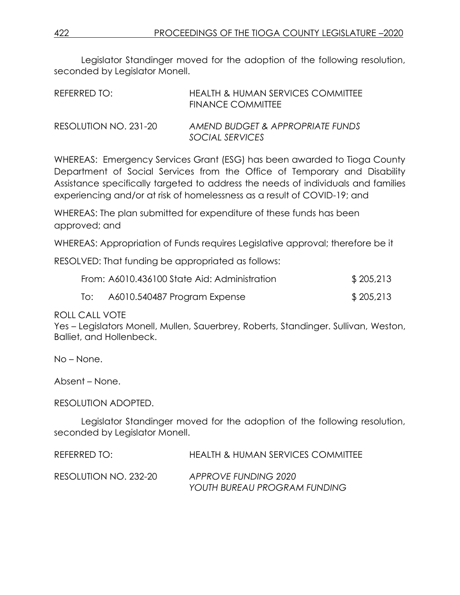Legislator Standinger moved for the adoption of the following resolution, seconded by Legislator Monell.

| REFERRED TO:          | HEALTH & HUMAN SERVICES COMMITTEE<br><b>FINANCE COMMITTEE</b> |
|-----------------------|---------------------------------------------------------------|
| RESOLUTION NO. 231-20 | AMEND BUDGET & APPROPRIATE FUNDS<br>SOCIAL SERVICES           |

WHEREAS: Emergency Services Grant (ESG) has been awarded to Tioga County Department of Social Services from the Office of Temporary and Disability Assistance specifically targeted to address the needs of individuals and families experiencing and/or at risk of homelessness as a result of COVID-19; and

WHEREAS: The plan submitted for expenditure of these funds has been approved; and

WHEREAS: Appropriation of Funds requires Legislative approval; therefore be it

RESOLVED: That funding be appropriated as follows:

|     | From: A6010.436100 State Aid: Administration | \$205,213 |
|-----|----------------------------------------------|-----------|
| To: | A6010.540487 Program Expense                 | \$205,213 |

#### ROLL CALL VOTE

Yes – Legislators Monell, Mullen, Sauerbrey, Roberts, Standinger. Sullivan, Weston, Balliet, and Hollenbeck.

No – None.

Absent – None.

#### RESOLUTION ADOPTED.

Legislator Standinger moved for the adoption of the following resolution, seconded by Legislator Monell.

REFERRED TO: HEALTH & HUMAN SERVICES COMMITTEE

RESOLUTION NO. 232-20 *APPROVE FUNDING 2020 YOUTH BUREAU PROGRAM FUNDING*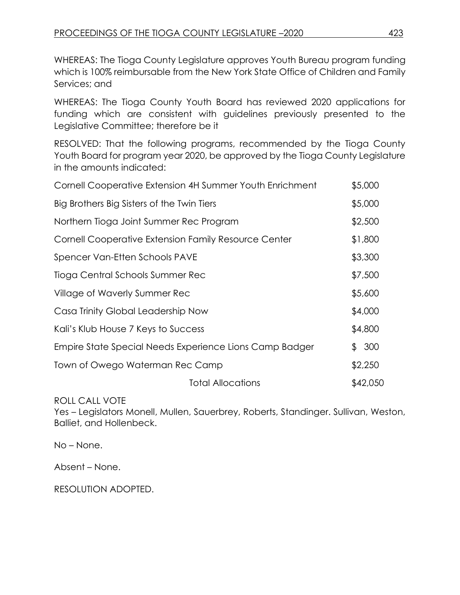WHEREAS: The Tioga County Legislature approves Youth Bureau program funding which is 100% reimbursable from the New York State Office of Children and Family Services; and

WHEREAS: The Tioga County Youth Board has reviewed 2020 applications for funding which are consistent with guidelines previously presented to the Legislative Committee; therefore be it

RESOLVED: That the following programs, recommended by the Tioga County Youth Board for program year 2020, be approved by the Tioga County Legislature in the amounts indicated:

| \$5,000  |
|----------|
| \$5,000  |
| \$2,500  |
| \$1,800  |
| \$3,300  |
| \$7,500  |
| \$5,600  |
| \$4,000  |
| \$4,800  |
| \$300    |
| \$2,250  |
| \$42,050 |
|          |

ROLL CALL VOTE

Yes – Legislators Monell, Mullen, Sauerbrey, Roberts, Standinger. Sullivan, Weston, Balliet, and Hollenbeck.

No – None.

Absent – None.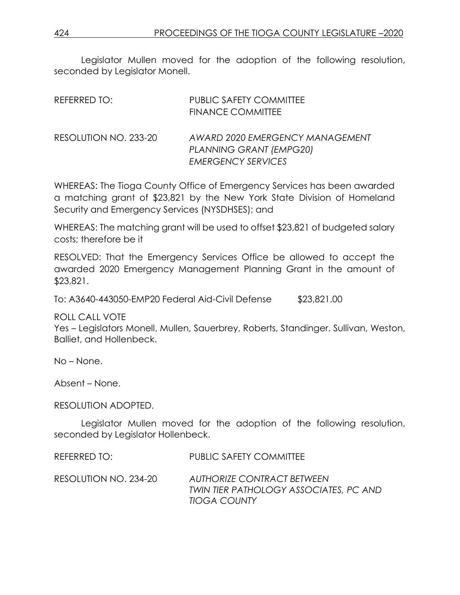Legislator Mullen moved for the adoption of the following resolution, seconded by Legislator Monell.

| REFERRED TO:          | <b>PUBLIC SAFETY COMMITTEE</b><br><b>FINANCE COMMITTEE</b>                              |
|-----------------------|-----------------------------------------------------------------------------------------|
| RESOLUTION NO. 233-20 | AWARD 2020 EMERGENCY MANAGEMENT<br>PLANNING GRANT (EMPG20)<br><b>EMERGENCY SERVICES</b> |

WHEREAS: The Tioga County Office of Emergency Services has been awarded a matching grant of \$23,821 by the New York State Division of Homeland Security and Emergency Services (NYSDHSES); and

WHEREAS: The matching grant will be used to offset \$23,821 of budgeted salary costs; therefore be it

RESOLVED: That the Emergency Services Office be allowed to accept the awarded 2020 Emergency Management Planning Grant in the amount of \$23,821.

To: A3640-443050-EMP20 Federal Aid-Civil Defense \$23,821.00

ROLL CALL VOTE

Yes – Legislators Monell, Mullen, Sauerbrey, Roberts, Standinger. Sullivan, Weston, Balliet, and Hollenbeck.

No – None.

Absent – None.

RESOLUTION ADOPTED.

Legislator Mullen moved for the adoption of the following resolution, seconded by Legislator Hollenbeck.

| REFERRED TO:          | <b>PUBLIC SAFETY COMMITTEE</b>                                                       |
|-----------------------|--------------------------------------------------------------------------------------|
| RESOLUTION NO. 234-20 | AUTHORIZE CONTRACT BETWEEN<br>TWIN TIER PATHOLOGY ASSOCIATES, PC AND<br>TIOGA COUNTY |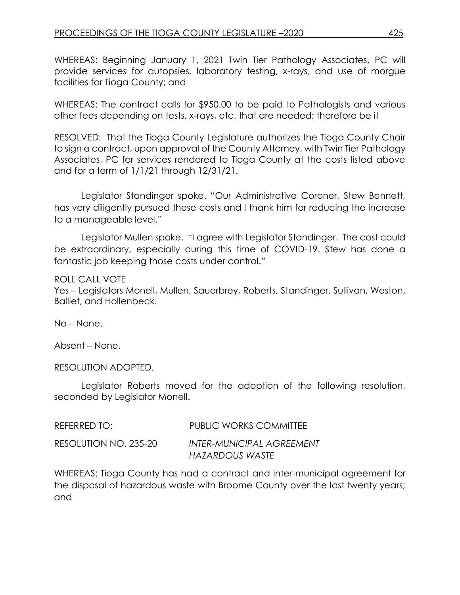WHEREAS: Beginning January 1, 2021 Twin Tier Pathology Associates, PC will provide services for autopsies, laboratory testing, x-rays, and use of morgue facilities for Tioga County; and

WHEREAS: The contract calls for \$950.00 to be paid to Pathologists and various other fees depending on tests, x-rays, etc. that are needed; therefore be it

RESOLVED: That the Tioga County Legislature authorizes the Tioga County Chair to sign a contract, upon approval of the County Attorney, with Twin Tier Pathology Associates, PC for services rendered to Tioga County at the costs listed above and for a term of 1/1/21 through 12/31/21.

Legislator Standinger spoke. "Our Administrative Coroner, Stew Bennett, has very diligently pursued these costs and I thank him for reducing the increase to a manageable level."

Legislator Mullen spoke. "I agree with Legislator Standinger. The cost could be extraordinary, especially during this time of COVID-19. Stew has done a fantastic job keeping those costs under control."

#### ROLL CALL VOTE

Yes – Legislators Monell, Mullen, Sauerbrey, Roberts, Standinger. Sullivan, Weston, Balliet, and Hollenbeck.

No – None.

Absent – None.

RESOLUTION ADOPTED.

Legislator Roberts moved for the adoption of the following resolution, seconded by Legislator Monell.

| REFERRED TO:          | <b>PUBLIC WORKS COMMITTEE</b>                |
|-----------------------|----------------------------------------------|
| RESOLUTION NO. 235-20 | INTER-MUNICIPAL AGREEMENT<br>HAZARDOUS WASTE |

WHEREAS: Tioga County has had a contract and inter-municipal agreement for the disposal of hazardous waste with Broome County over the last twenty years; and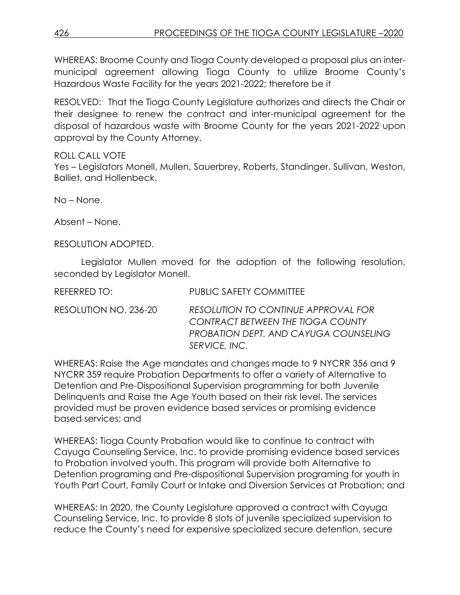WHEREAS: Broome County and Tioga County developed a proposal plus an intermunicipal agreement allowing Tioga County to utilize Broome County's Hazardous Waste Facility for the years 2021-2022; therefore be it

RESOLVED: That the Tioga County Legislature authorizes and directs the Chair or their designee to renew the contract and inter-municipal agreement for the disposal of hazardous waste with Broome County for the years 2021-2022 upon approval by the County Attorney.

## ROLL CALL VOTE

Yes – Legislators Monell, Mullen, Sauerbrey, Roberts, Standinger. Sullivan, Weston, Balliet, and Hollenbeck.

No – None.

Absent – None.

RESOLUTION ADOPTED.

Legislator Mullen moved for the adoption of the following resolution, seconded by Legislator Monell.

| REFERRED TO:          | PUBLIC SAFETY COMMITTEE                                                                                                                          |
|-----------------------|--------------------------------------------------------------------------------------------------------------------------------------------------|
| RESOLUTION NO. 236-20 | RESOLUTION TO CONTINUE APPROVAL FOR<br><b>CONTRACT BETWEEN THE TIOGA COUNTY</b><br><b>PROBATION DEPT. AND CAYUGA COUNSELING</b><br>SERVICE, INC. |

WHEREAS: Raise the Age mandates and changes made to 9 NYCRR 356 and 9 NYCRR 359 require Probation Departments to offer a variety of Alternative to Detention and Pre-Dispositional Supervision programming for both Juvenile Delinquents and Raise the Age Youth based on their risk level. The services provided must be proven evidence based services or promising evidence based services; and

WHEREAS: Tioga County Probation would like to continue to contract with Cayuga Counseling Service, Inc. to provide promising evidence based services to Probation involved youth. This program will provide both Alternative to Detention programing and Pre-dispositional Supervision programing for youth in Youth Part Court, Family Court or Intake and Diversion Services at Probation; and

WHEREAS: In 2020, the County Legislature approved a contract with Cayuga Counseling Service, Inc. to provide 8 slots of juvenile specialized supervision to reduce the County's need for expensive specialized secure detention, secure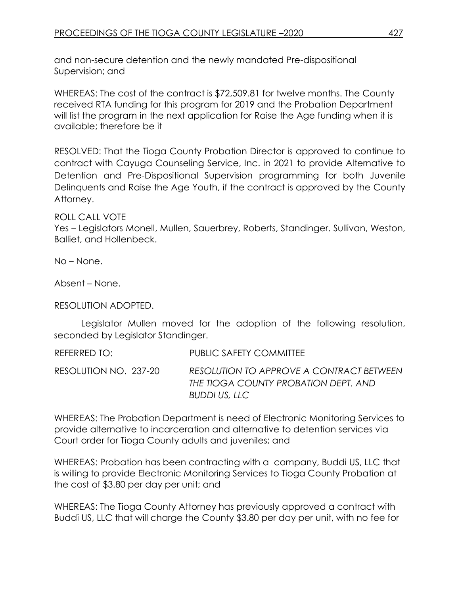and non-secure detention and the newly mandated Pre-dispositional Supervision; and

WHEREAS: The cost of the contract is \$72,509.81 for twelve months. The County received RTA funding for this program for 2019 and the Probation Department will list the program in the next application for Raise the Age funding when it is available; therefore be it

RESOLVED: That the Tioga County Probation Director is approved to continue to contract with Cayuga Counseling Service, Inc. in 2021 to provide Alternative to Detention and Pre-Dispositional Supervision programming for both Juvenile Delinquents and Raise the Age Youth, if the contract is approved by the County Attorney.

ROLL CALL VOTE

Yes – Legislators Monell, Mullen, Sauerbrey, Roberts, Standinger. Sullivan, Weston, Balliet, and Hollenbeck.

No – None.

Absent – None.

RESOLUTION ADOPTED.

Legislator Mullen moved for the adoption of the following resolution, seconded by Legislator Standinger.

REFERRED TO: PUBLIC SAFETY COMMITTEE

RESOLUTION NO. 237-20 *RESOLUTION TO APPROVE A CONTRACT BETWEEN THE TIOGA COUNTY PROBATION DEPT. AND BUDDI US, LLC*

WHEREAS: The Probation Department is need of Electronic Monitoring Services to provide alternative to incarceration and alternative to detention services via Court order for Tioga County adults and juveniles; and

WHEREAS: Probation has been contracting with a company, Buddi US, LLC that is willing to provide Electronic Monitoring Services to Tioga County Probation at the cost of \$3.80 per day per unit; and

WHEREAS: The Tioga County Attorney has previously approved a contract with Buddi US, LLC that will charge the County \$3.80 per day per unit, with no fee for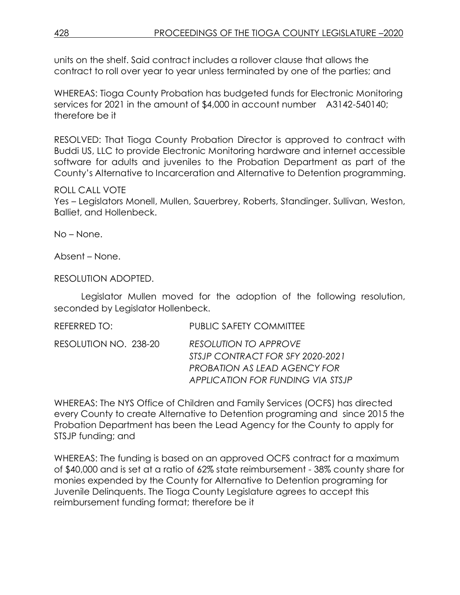units on the shelf. Said contract includes a rollover clause that allows the contract to roll over year to year unless terminated by one of the parties; and

WHEREAS: Tioga County Probation has budgeted funds for Electronic Monitoring services for 2021 in the amount of \$4,000 in account number A3142-540140; therefore be it

RESOLVED: That Tioga County Probation Director is approved to contract with Buddi US, LLC to provide Electronic Monitoring hardware and internet accessible software for adults and juveniles to the Probation Department as part of the County's Alternative to Incarceration and Alternative to Detention programming.

#### ROLL CALL VOTE

Yes – Legislators Monell, Mullen, Sauerbrey, Roberts, Standinger. Sullivan, Weston, Balliet, and Hollenbeck.

No – None.

Absent – None.

RESOLUTION ADOPTED.

Legislator Mullen moved for the adoption of the following resolution, seconded by Legislator Hollenbeck.

| REFERRED TO:          | <b>PUBLIC SAFETY COMMITTEE</b>                                                                                                        |
|-----------------------|---------------------------------------------------------------------------------------------------------------------------------------|
| RESOLUTION NO. 238-20 | <b>RESOLUTION TO APPROVE</b><br>STSJP CONTRACT FOR SFY 2020-2021<br>PROBATION AS LEAD AGENCY FOR<br>APPLICATION FOR FUNDING VIA STSJP |

WHEREAS: The NYS Office of Children and Family Services (OCFS) has directed every County to create Alternative to Detention programing and since 2015 the Probation Department has been the Lead Agency for the County to apply for STSJP funding; and

WHEREAS: The funding is based on an approved OCFS contract for a maximum of \$40,000 and is set at a ratio of 62% state reimbursement - 38% county share for monies expended by the County for Alternative to Detention programing for Juvenile Delinquents. The Tioga County Legislature agrees to accept this reimbursement funding format; therefore be it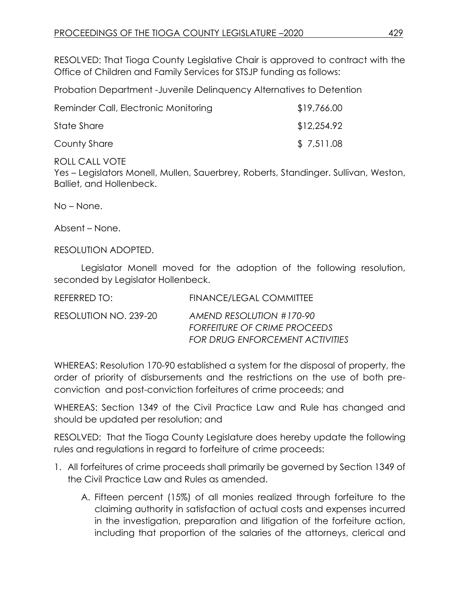RESOLVED: That Tioga County Legislative Chair is approved to contract with the Office of Children and Family Services for STSJP funding as follows:

Probation Department -Juvenile Delinquency Alternatives to Detention

| Reminder Call, Electronic Monitoring | \$19,766.00 |
|--------------------------------------|-------------|
| State Share                          | \$12,254.92 |
| County Share                         | \$7,511.08  |

ROLL CALL VOTE

Yes – Legislators Monell, Mullen, Sauerbrey, Roberts, Standinger. Sullivan, Weston, Balliet, and Hollenbeck.

No – None.

Absent – None.

RESOLUTION ADOPTED.

Legislator Monell moved for the adoption of the following resolution, seconded by Legislator Hollenbeck.

| REFERRED TO:          | FINANCE/LEGAL COMMITTEE                                         |
|-----------------------|-----------------------------------------------------------------|
| RESOLUTION NO. 239-20 | AMEND RESOLUTION #170-90<br><b>FORFEITURE OF CRIME PROCEEDS</b> |
|                       | <b>FOR DRUG ENFORCEMENT ACTIVITIES</b>                          |

WHEREAS: Resolution 170-90 established a system for the disposal of property, the order of priority of disbursements and the restrictions on the use of both preconviction and post-conviction forfeitures of crime proceeds; and

WHEREAS: Section 1349 of the Civil Practice Law and Rule has changed and should be updated per resolution; and

RESOLVED: That the Tioga County Legislature does hereby update the following rules and regulations in regard to forfeiture of crime proceeds:

- 1. All forfeitures of crime proceeds shall primarily be governed by Section 1349 of the Civil Practice Law and Rules as amended.
	- A. Fifteen percent (15%) of all monies realized through forfeiture to the claiming authority in satisfaction of actual costs and expenses incurred in the investigation, preparation and litigation of the forfeiture action, including that proportion of the salaries of the attorneys, clerical and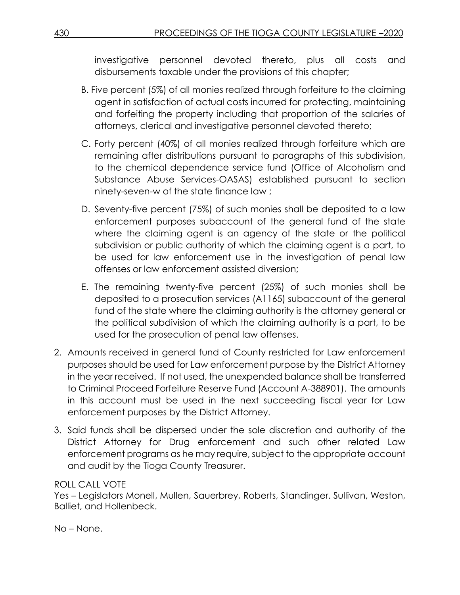investigative personnel devoted thereto, plus all costs and disbursements taxable under the provisions of this chapter;

- B. Five percent (5%) of all monies realized through forfeiture to the claiming agent in satisfaction of actual costs incurred for protecting, maintaining and forfeiting the property including that proportion of the salaries of attorneys, clerical and investigative personnel devoted thereto;
- C. Forty percent (40%) of all monies realized through forfeiture which are remaining after distributions pursuant to paragraphs of this subdivision, to the chemical dependence service fund (Office of Alcoholism and Substance Abuse Services-OASAS) established pursuant to section ninety-seven-w of the state finance law ;
- D. Seventy-five percent (75%) of such monies shall be deposited to a law enforcement purposes subaccount of the general fund of the state where the claiming agent is an agency of the state or the political subdivision or public authority of which the claiming agent is a part, to be used for law enforcement use in the investigation of penal law offenses or law enforcement assisted diversion;
- E. The remaining twenty-five percent (25%) of such monies shall be deposited to a prosecution services (A1165) subaccount of the general fund of the state where the claiming authority is the attorney general or the political subdivision of which the claiming authority is a part, to be used for the prosecution of penal law offenses.
- 2. Amounts received in general fund of County restricted for Law enforcement purposes should be used for Law enforcement purpose by the District Attorney in the year received. If not used, the unexpended balance shall be transferred to Criminal Proceed Forfeiture Reserve Fund (Account A-388901). The amounts in this account must be used in the next succeeding fiscal year for Law enforcement purposes by the District Attorney.
- 3. Said funds shall be dispersed under the sole discretion and authority of the District Attorney for Drug enforcement and such other related Law enforcement programs as he may require, subject to the appropriate account and audit by the Tioga County Treasurer.

### ROLL CALL VOTE

Yes – Legislators Monell, Mullen, Sauerbrey, Roberts, Standinger. Sullivan, Weston, Balliet, and Hollenbeck.

No – None.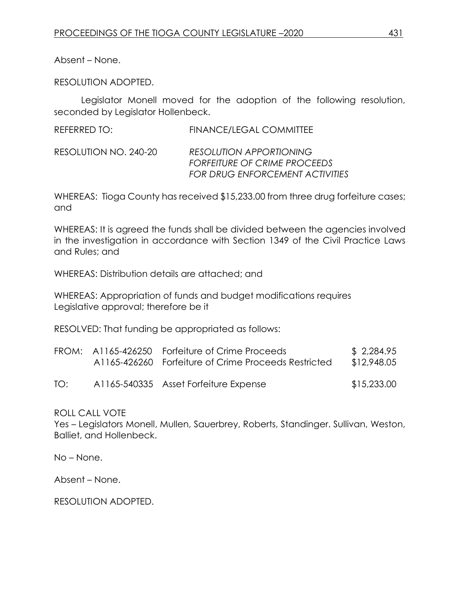Absent – None.

RESOLUTION ADOPTED.

Legislator Monell moved for the adoption of the following resolution, seconded by Legislator Hollenbeck.

| REFERRED TO:          | FINANCE/LEGAL COMMITTEE                                                                                         |
|-----------------------|-----------------------------------------------------------------------------------------------------------------|
| RESOLUTION NO. 240-20 | <b>RESOLUTION APPORTIONING</b><br><b>FORFEITURE OF CRIME PROCEEDS</b><br><b>FOR DRUG ENFORCEMENT ACTIVITIES</b> |

WHEREAS: Tioga County has received \$15,233.00 from three drug forfeiture cases; and

WHEREAS: It is agreed the funds shall be divided between the agencies involved in the investigation in accordance with Section 1349 of the Civil Practice Laws and Rules; and

WHEREAS: Distribution details are attached; and

WHEREAS: Appropriation of funds and budget modifications requires Legislative approval; therefore be it

RESOLVED: That funding be appropriated as follows:

|     | FROM: A1165-426250 Forfeiture of Crime Proceeds<br>A1165-426260 Forfeiture of Crime Proceeds Restricted | \$2,284.95<br>\$12,948.05 |
|-----|---------------------------------------------------------------------------------------------------------|---------------------------|
| TO: | A1165-540335 Asset Forfeiture Expense                                                                   | \$15,233.00               |

ROLL CALL VOTE

Yes – Legislators Monell, Mullen, Sauerbrey, Roberts, Standinger. Sullivan, Weston, Balliet, and Hollenbeck.

No – None.

Absent – None.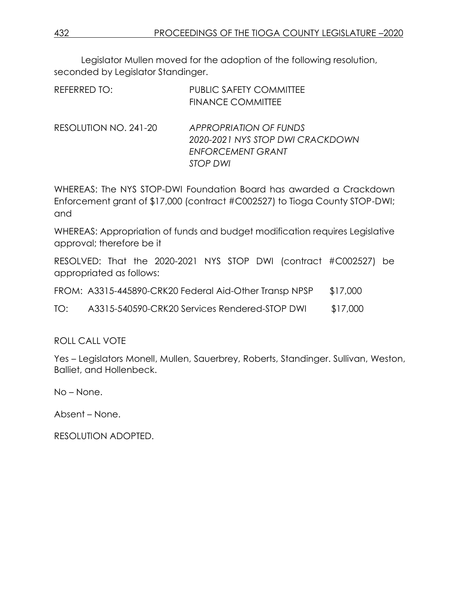Legislator Mullen moved for the adoption of the following resolution, seconded by Legislator Standinger.

| REFERRED TO: | PUBLIC SAFETY COMMITTEE  |
|--------------|--------------------------|
|              | <b>FINANCE COMMITTEE</b> |

RESOLUTION NO. 241-20 *APPROPRIATION OF FUNDS 2020-2021 NYS STOP DWI CRACKDOWN ENFORCEMENT GRANT STOP DWI*

WHEREAS: The NYS STOP-DWI Foundation Board has awarded a Crackdown Enforcement grant of \$17,000 (contract #C002527) to Tioga County STOP-DWI; and

WHEREAS: Appropriation of funds and budget modification requires Legislative approval; therefore be it

RESOLVED: That the 2020-2021 NYS STOP DWI (contract #C002527) be appropriated as follows:

|  |  | FROM: A3315-445890-CRK20 Federal Aid-Other Transp NPSP |  | \$17,000 |
|--|--|--------------------------------------------------------|--|----------|
|--|--|--------------------------------------------------------|--|----------|

TO: A3315-540590-CRK20 Services Rendered-STOP DWI \$17,000

### ROLL CALL VOTE

Yes – Legislators Monell, Mullen, Sauerbrey, Roberts, Standinger. Sullivan, Weston, Balliet, and Hollenbeck.

No – None.

Absent – None.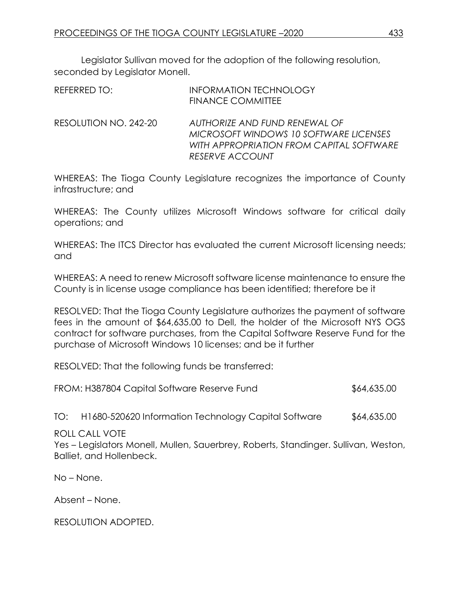Legislator Sullivan moved for the adoption of the following resolution, seconded by Legislator Monell.

| REFERRED TO:          | <b>INFORMATION TECHNOLOGY</b><br><b>FINANCE COMMITTEE</b>                                                                                     |
|-----------------------|-----------------------------------------------------------------------------------------------------------------------------------------------|
| RESOLUTION NO. 242-20 | AUTHORIZE AND FUND RENEWAL OF<br>MICROSOFT WINDOWS 10 SOFTWARE LICENSES<br>WITH APPROPRIATION FROM CAPITAL SOFTWARE<br><b>RESERVE ACCOUNT</b> |

WHEREAS: The Tioga County Legislature recognizes the importance of County infrastructure; and

WHEREAS: The County utilizes Microsoft Windows software for critical daily operations; and

WHEREAS: The ITCS Director has evaluated the current Microsoft licensing needs; and

WHEREAS: A need to renew Microsoft software license maintenance to ensure the County is in license usage compliance has been identified; therefore be it

RESOLVED: That the Tioga County Legislature authorizes the payment of software fees in the amount of \$64,635.00 to Dell, the holder of the Microsoft NYS OGS contract for software purchases, from the Capital Software Reserve Fund for the purchase of Microsoft Windows 10 licenses; and be it further

RESOLVED: That the following funds be transferred:

|  |  | FROM: H387804 Capital Software Reserve Fund | \$64,635.00 |
|--|--|---------------------------------------------|-------------|
|--|--|---------------------------------------------|-------------|

TO: H1680-520620 Information Technology Capital Software \$64,635.00

ROLL CALL VOTE

Yes – Legislators Monell, Mullen, Sauerbrey, Roberts, Standinger. Sullivan, Weston, Balliet, and Hollenbeck.

No – None.

Absent – None.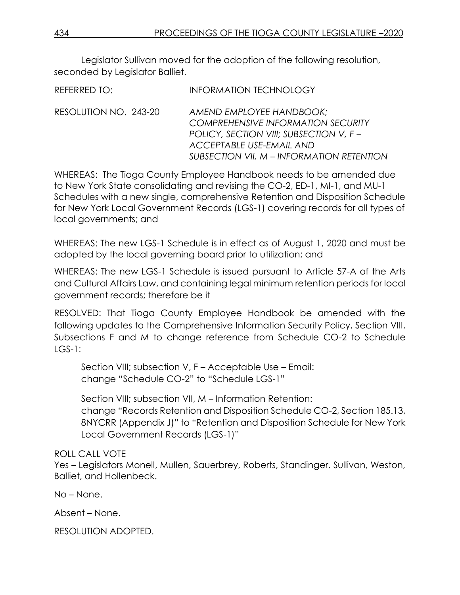Legislator Sullivan moved for the adoption of the following resolution, seconded by Legislator Balliet.

| REFERRED TO:          | <b>INFORMATION TECHNOLOGY</b>                                                                                                                                                                    |
|-----------------------|--------------------------------------------------------------------------------------------------------------------------------------------------------------------------------------------------|
| RESOLUTION NO. 243-20 | AMEND EMPLOYEE HANDBOOK;<br><b>COMPREHENSIVE INFORMATION SECURITY</b><br>POLICY, SECTION VIII; SUBSECTION V, F -<br><b>ACCEPTABLE USE-EMAIL AND</b><br>SUBSECTION VII, M – INFORMATION RETENTION |

WHEREAS: The Tioga County Employee Handbook needs to be amended due to New York State consolidating and revising the CO-2, ED-1, MI-1, and MU-1 Schedules with a new single, comprehensive Retention and Disposition Schedule for New York Local Government Records (LGS-1) covering records for all types of local governments; and

WHEREAS: The new LGS-1 Schedule is in effect as of August 1, 2020 and must be adopted by the local governing board prior to utilization; and

WHEREAS: The new LGS-1 Schedule is issued pursuant to Article 57-A of the Arts and Cultural Affairs Law, and containing legal minimum retention periods for local government records; therefore be it

RESOLVED: That Tioga County Employee Handbook be amended with the following updates to the Comprehensive Information Security Policy, Section VIII, Subsections F and M to change reference from Schedule CO-2 to Schedule  $IGS-1$ :

Section VIII; subsection V, F – Acceptable Use – Email: change "Schedule CO-2" to "Schedule LGS-1"

Section VIII; subsection VII, M – Information Retention: change "Records Retention and Disposition Schedule CO-2, Section 185.13, 8NYCRR (Appendix J)" to "Retention and Disposition Schedule for New York Local Government Records (LGS-1)"

# ROLL CALL VOTE

Yes – Legislators Monell, Mullen, Sauerbrey, Roberts, Standinger. Sullivan, Weston, Balliet, and Hollenbeck.

No – None.

Absent – None.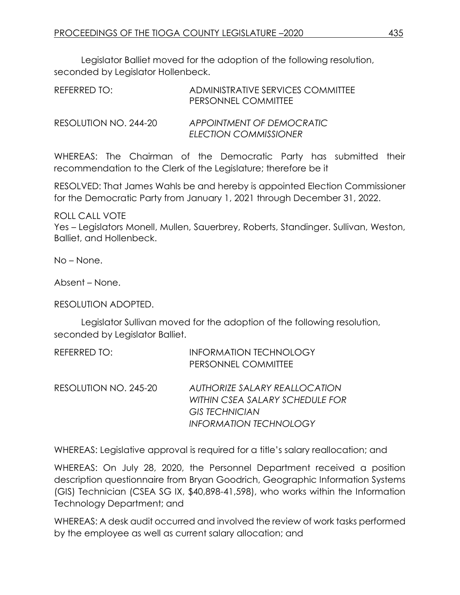Legislator Balliet moved for the adoption of the following resolution, seconded by Legislator Hollenbeck.

| REFERRED TO:          | ADMINISTRATIVE SERVICES COMMITTEE<br>PERSONNEL COMMITTEE  |
|-----------------------|-----------------------------------------------------------|
| RESOLUTION NO. 244-20 | APPOINTMENT OF DEMOCRATIC<br><b>ELECTION COMMISSIONER</b> |

WHEREAS: The Chairman of the Democratic Party has submitted their recommendation to the Clerk of the Legislature; therefore be it

RESOLVED: That James Wahls be and hereby is appointed Election Commissioner for the Democratic Party from January 1, 2021 through December 31, 2022.

ROLL CALL VOTE

Yes – Legislators Monell, Mullen, Sauerbrey, Roberts, Standinger. Sullivan, Weston, Balliet, and Hollenbeck.

No – None.

Absent – None.

RESOLUTION ADOPTED.

Legislator Sullivan moved for the adoption of the following resolution, seconded by Legislator Balliet.

| REFERRED TO:          | <b>INFORMATION TECHNOLOGY</b>   |
|-----------------------|---------------------------------|
|                       | PERSONNEL COMMITTEE             |
| RESOLUTION NO. 245-20 | AUTHORIZE SALARY REALLOCATION   |
|                       | WITHIN CSEA SALARY SCHEDULE FOR |
|                       | <b>GIS TECHNICIAN</b>           |
|                       | <b>INFORMATION TECHNOLOGY</b>   |

WHEREAS: Legislative approval is required for a title's salary reallocation; and

WHEREAS: On July 28, 2020, the Personnel Department received a position description questionnaire from Bryan Goodrich, Geographic Information Systems (GIS) Technician (CSEA SG IX, \$40,898-41,598), who works within the Information Technology Department; and

WHEREAS: A desk audit occurred and involved the review of work tasks performed by the employee as well as current salary allocation; and